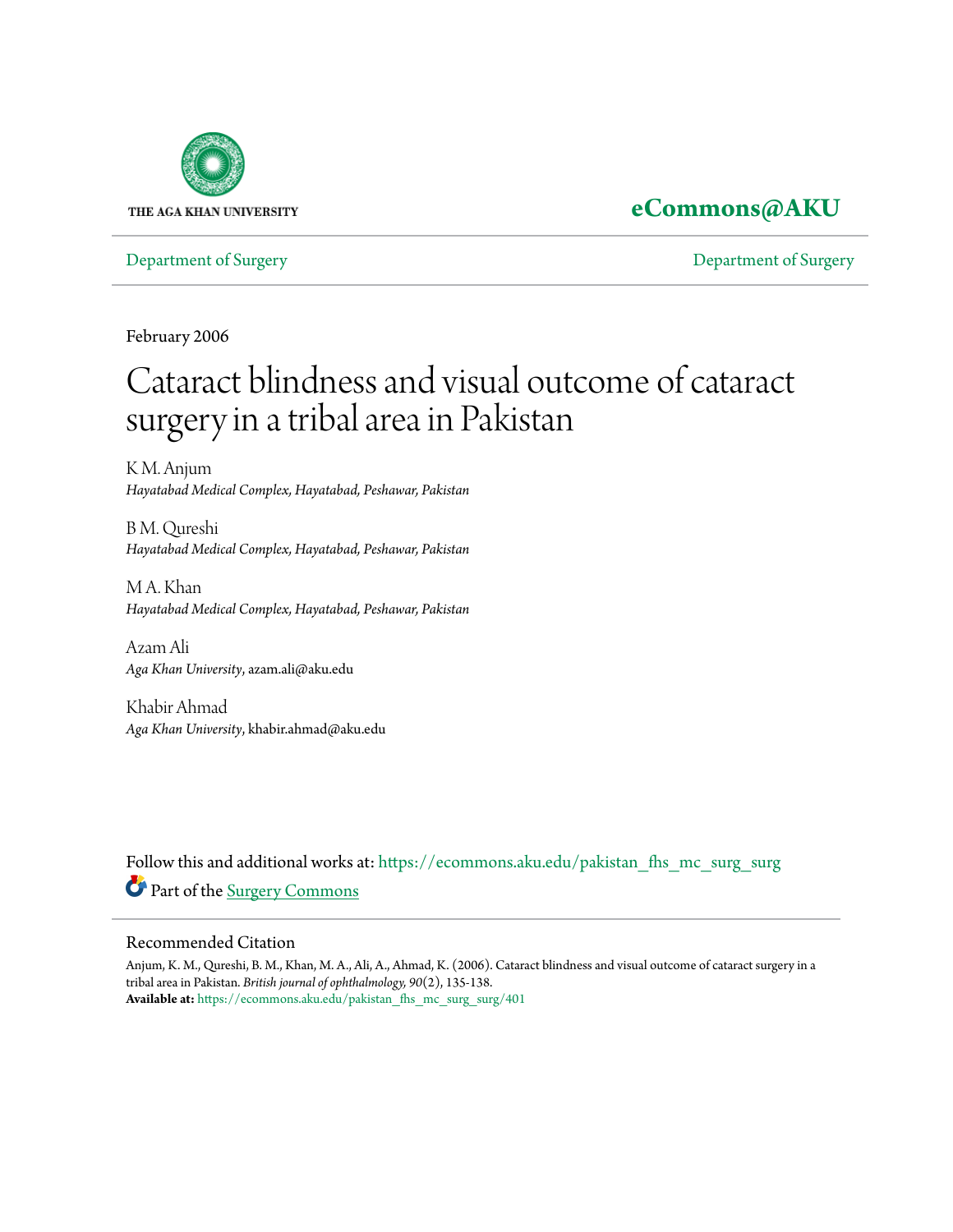

### **[eCommons@AKU](https://ecommons.aku.edu?utm_source=ecommons.aku.edu%2Fpakistan_fhs_mc_surg_surg%2F401&utm_medium=PDF&utm_campaign=PDFCoverPages)**

[Department of Surgery](https://ecommons.aku.edu/pakistan_fhs_mc_surg_surg?utm_source=ecommons.aku.edu%2Fpakistan_fhs_mc_surg_surg%2F401&utm_medium=PDF&utm_campaign=PDFCoverPages) [Department of Surgery](https://ecommons.aku.edu/pakistan_fhs_mc_surg?utm_source=ecommons.aku.edu%2Fpakistan_fhs_mc_surg_surg%2F401&utm_medium=PDF&utm_campaign=PDFCoverPages)

February 2006

# Cataract blindness and visual outcome of cataract surgery in a tribal area in Pakistan

K M. Anjum *Hayatabad Medical Complex, Hayatabad, Peshawar, Pakistan*

B M. Qureshi *Hayatabad Medical Complex, Hayatabad, Peshawar, Pakistan*

M A. Khan *Hayatabad Medical Complex, Hayatabad, Peshawar, Pakistan*

Azam Ali *Aga Khan University*, azam.ali@aku.edu

Khabir Ahmad *Aga Khan University*, khabir.ahmad@aku.edu

Follow this and additional works at: [https://ecommons.aku.edu/pakistan\\_fhs\\_mc\\_surg\\_surg](https://ecommons.aku.edu/pakistan_fhs_mc_surg_surg?utm_source=ecommons.aku.edu%2Fpakistan_fhs_mc_surg_surg%2F401&utm_medium=PDF&utm_campaign=PDFCoverPages) Part of the [Surgery Commons](http://network.bepress.com/hgg/discipline/706?utm_source=ecommons.aku.edu%2Fpakistan_fhs_mc_surg_surg%2F401&utm_medium=PDF&utm_campaign=PDFCoverPages)

#### Recommended Citation

Anjum, K. M., Qureshi, B. M., Khan, M. A., Ali, A., Ahmad, K. (2006). Cataract blindness and visual outcome of cataract surgery in a tribal area in Pakistan. *British journal of ophthalmology, 90*(2), 135-138. **Available at:** [https://ecommons.aku.edu/pakistan\\_fhs\\_mc\\_surg\\_surg/401](https://ecommons.aku.edu/pakistan_fhs_mc_surg_surg/401)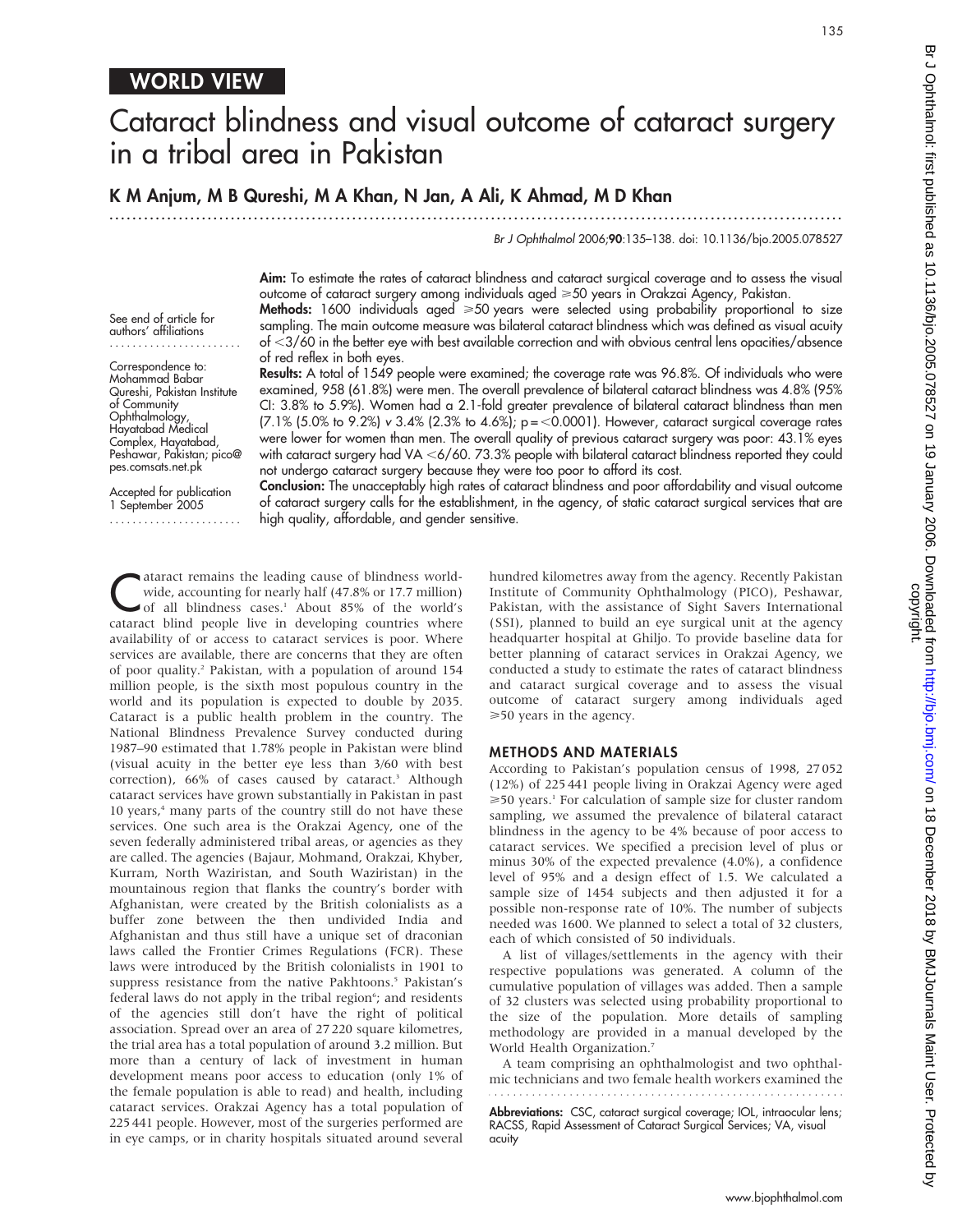## Cataract blindness and visual outcome of cataract surgery in a tribal area in Pakistan

#### K M Anjum, M B Qureshi, M A Khan, N Jan, A Ali, K Ahmad, M D Khan

.............................................................................................................................. .

Br J Ophthalmol 2006;90:135–138. doi: 10.1136/bjo.2005.078527

Aim: To estimate the rates of cataract blindness and cataract surgical coverage and to assess the visual outcome of cataract surgery among individuals aged  $\geq 50$  years in Orakzai Agency, Pakistan.

See end of article for authors' affiliations .......................

Correspondence to: Mohammad Babar Qureshi, Pakistan Institute of Community Ophthalmology, Hayatabad Medical Complex, Hayatabad, Peshawar, Pakistan; pico@ pes.comsats.net.pk

Accepted for publication 1 September 2005 .......................

Methods: 1600 individuals aged  $\geq 50$  years were selected using probability proportional to size sampling. The main outcome measure was bilateral cataract blindness which was defined as visual acuity of <3/60 in the better eye with best available correction and with obvious central lens opacities/absence of red reflex in both eyes.

Results: A total of 1549 people were examined; the coverage rate was 96.8%. Of individuals who were examined, 958 (61.8%) were men. The overall prevalence of bilateral cataract blindness was 4.8% (95% CI: 3.8% to 5.9%). Women had a 2.1-fold greater prevalence of bilateral cataract blindness than men  $(7.1\%~(5.0\%~to~9.2\%)$  v 3.4%  $(2.3\%~to~4.6\%)$ ; p = <0.0001). However, cataract surgical coverage rates were lower for women than men. The overall quality of previous cataract surgery was poor: 43.1% eyes with cataract surgery had VA <6/60. 73.3% people with bilateral cataract blindness reported they could not undergo cataract surgery because they were too poor to afford its cost.

Conclusion: The unacceptably high rates of cataract blindness and poor affordability and visual outcome of cataract surgery calls for the establishment, in the agency, of static cataract surgical services that are high quality, affordable, and gender sensitive.

diaract remains the leading cause of blindness world-<br>wide, accounting for nearly half (47.8% or 17.7 million)<br>of all blindness cases.<sup>1</sup> About 85% of the world's wide, accounting for nearly half (47.8% or 17.7 million) cataract blind people live in developing countries where availability of or access to cataract services is poor. Where services are available, there are concerns that they are often of poor quality.2 Pakistan, with a population of around 154 million people, is the sixth most populous country in the world and its population is expected to double by 2035. Cataract is a public health problem in the country. The National Blindness Prevalence Survey conducted during 1987–90 estimated that 1.78% people in Pakistan were blind (visual acuity in the better eye less than 3/60 with best correction), 66% of cases caused by cataract.<sup>3</sup> Although cataract services have grown substantially in Pakistan in past 10 years,<sup>4</sup> many parts of the country still do not have these services. One such area is the Orakzai Agency, one of the seven federally administered tribal areas, or agencies as they are called. The agencies (Bajaur, Mohmand, Orakzai, Khyber, Kurram, North Waziristan, and South Waziristan) in the mountainous region that flanks the country's border with Afghanistan, were created by the British colonialists as a buffer zone between the then undivided India and Afghanistan and thus still have a unique set of draconian laws called the Frontier Crimes Regulations (FCR). These laws were introduced by the British colonialists in 1901 to suppress resistance from the native Pakhtoons.<sup>5</sup> Pakistan's federal laws do not apply in the tribal region<sup>6</sup>; and residents of the agencies still don't have the right of political association. Spread over an area of 27 220 square kilometres, the trial area has a total population of around 3.2 million. But more than a century of lack of investment in human development means poor access to education (only 1% of the female population is able to read) and health, including cataract services. Orakzai Agency has a total population of 225 441 people. However, most of the surgeries performed are in eye camps, or in charity hospitals situated around several

hundred kilometres away from the agency. Recently Pakistan Institute of Community Ophthalmology (PICO), Peshawar, Pakistan, with the assistance of Sight Savers International (SSI), planned to build an eye surgical unit at the agency headquarter hospital at Ghiljo. To provide baseline data for better planning of cataract services in Orakzai Agency, we conducted a study to estimate the rates of cataract blindness and cataract surgical coverage and to assess the visual outcome of cataract surgery among individuals aged >50 years in the agency.

#### METHODS AND MATERIALS

According to Pakistan's population census of 1998, 27 052 (12%) of 225 441 people living in Orakzai Agency were aged  $\geq$ 50 years.<sup>1</sup> For calculation of sample size for cluster random sampling, we assumed the prevalence of bilateral cataract blindness in the agency to be 4% because of poor access to cataract services. We specified a precision level of plus or minus 30% of the expected prevalence (4.0%), a confidence level of 95% and a design effect of 1.5. We calculated a sample size of 1454 subjects and then adjusted it for a possible non-response rate of 10%. The number of subjects needed was 1600. We planned to select a total of 32 clusters, each of which consisted of 50 individuals.

A list of villages/settlements in the agency with their respective populations was generated. A column of the cumulative population of villages was added. Then a sample of 32 clusters was selected using probability proportional to the size of the population. More details of sampling methodology are provided in a manual developed by the World Health Organization.<sup>7</sup>

A team comprising an ophthalmologist and two ophthalmic technicians and two female health workers examined the

Abbreviations: CSC, cataract surgical coverage; IOL, intraocular lens; RACSS, Rapid Assessment of Cataract Surgical Services; VA, visual acuity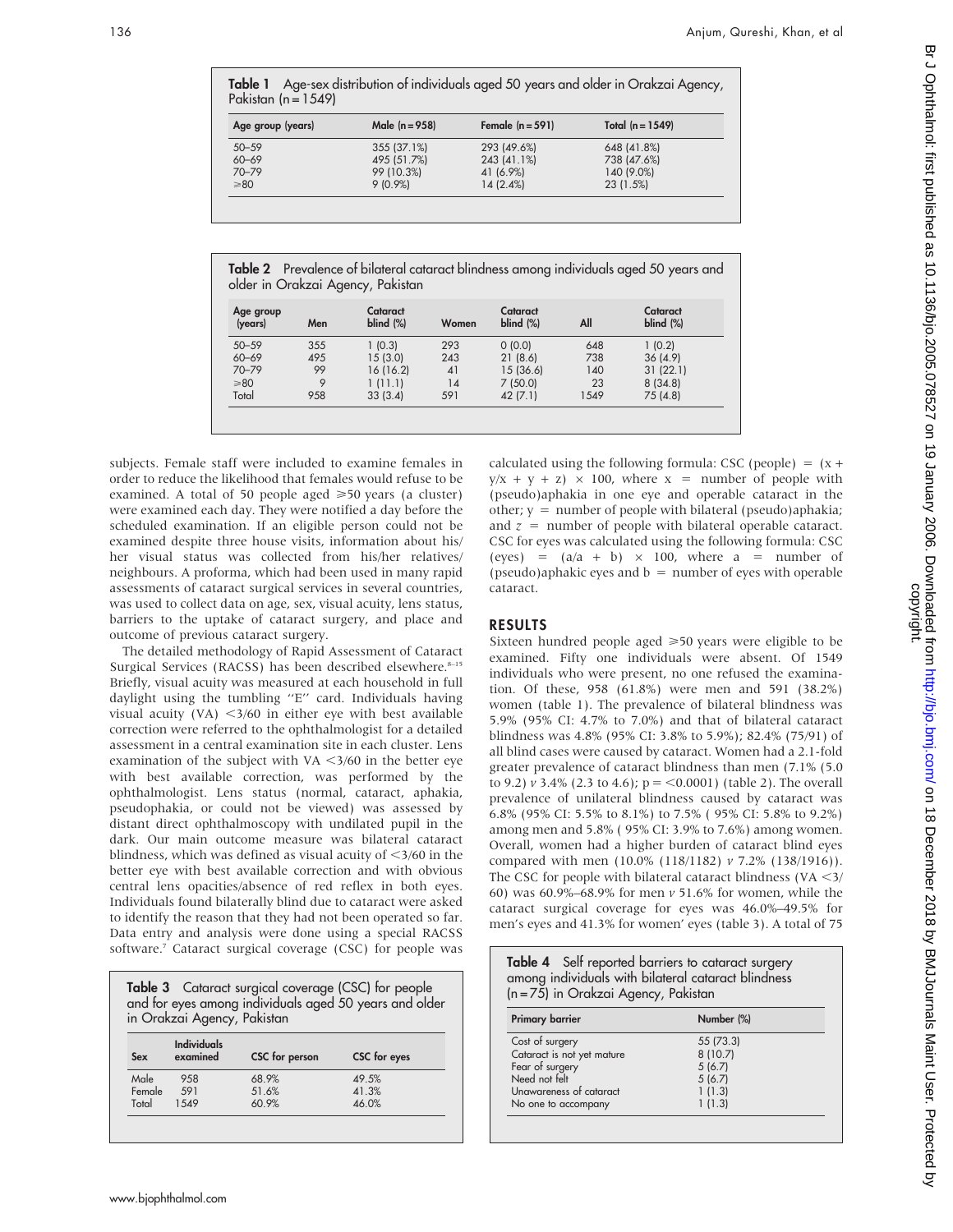Table 1 Age-sex distribution of individuals aged 50 years and older in Orakzai Agency, Pakistan ( $n = 1549$ )

| Age group (years) | Male $(n = 958)$ | Female $(n = 591)$ | Total $(n = 1549)$ |  |
|-------------------|------------------|--------------------|--------------------|--|
| $50 - 59$         | 355 (37.1%)      | 293 (49.6%)        | 648 (41.8%)        |  |
| $60 - 69$         | 495 (51.7%)      | 243 (41.1%)        | 738 (47.6%)        |  |
| $70 - 79$         | 99 (10.3%)       | 41 (6.9%)          | 140 (9.0%)         |  |
| $\geq 80$         | $9(0.9\%)$       | 14(2.4%)           | 23(1.5%)           |  |

Table 2 Prevalence of bilateral cataract blindness among individuals aged 50 years and older in Orakzai Agency, Pakistan

| Age group<br>(years) | Men | Cataract<br>$blind$ (%) | Women | Cataract<br>$blind$ (%) | All  | Cataract<br>$blind$ (%) |
|----------------------|-----|-------------------------|-------|-------------------------|------|-------------------------|
| $50 - 59$            | 355 | 1(0.3)                  | 293   | 0(0.0)                  | 648  | 1(0.2)                  |
| $60 - 69$            | 495 | 15(3.0)                 | 243   | 21(8.6)                 | 738  | 36(4.9)                 |
| $70 - 79$            | 99  | 16(16.2)                | 41    | 15 (36.6)               | 140  | 31(22.1)                |
| $\geq 80$            | 9   | 1(11.1)                 | 14    | 7(50.0)                 | 23   | 8(34.8)                 |
| Total                | 958 | 33(3.4)                 | 591   | 42(7.1)                 | 1549 | 75(4.8)                 |

subjects. Female staff were included to examine females in order to reduce the likelihood that females would refuse to be examined. A total of 50 people aged  $\geq 50$  years (a cluster) were examined each day. They were notified a day before the scheduled examination. If an eligible person could not be examined despite three house visits, information about his/ her visual status was collected from his/her relatives/ neighbours. A proforma, which had been used in many rapid assessments of cataract surgical services in several countries, was used to collect data on age, sex, visual acuity, lens status, barriers to the uptake of cataract surgery, and place and outcome of previous cataract surgery.

The detailed methodology of Rapid Assessment of Cataract Surgical Services (RACSS) has been described elsewhere.<sup>8-15</sup> Briefly, visual acuity was measured at each household in full daylight using the tumbling ''E'' card. Individuals having visual acuity (VA)  $\langle 3/60$  in either eye with best available correction were referred to the ophthalmologist for a detailed assessment in a central examination site in each cluster. Lens examination of the subject with VA  $\lt$ 3/60 in the better eye with best available correction, was performed by the ophthalmologist. Lens status (normal, cataract, aphakia, pseudophakia, or could not be viewed) was assessed by distant direct ophthalmoscopy with undilated pupil in the dark. Our main outcome measure was bilateral cataract blindness, which was defined as visual acuity of  $\leq$ 3/60 in the better eye with best available correction and with obvious central lens opacities/absence of red reflex in both eyes. Individuals found bilaterally blind due to cataract were asked to identify the reason that they had not been operated so far. Data entry and analysis were done using a special RACSS software.7 Cataract surgical coverage (CSC) for people was

Table 3 Cataract surgical coverage (CSC) for people and for eyes among individuals aged 50 years and older in Orakzai Agency, Pakistan

| Sex    | Individuals<br>examined | CSC for person | CSC for eyes |
|--------|-------------------------|----------------|--------------|
| Male   | 958                     | 68.9%          | 49.5%        |
| Female | 591                     | 51.6%          | 41.3%        |
| Total  | 1.549                   | 60.9%          | 46.0%        |

calculated using the following formula: CSC (people) =  $(x +$  $y/x + y + z$   $\times$  100, where  $x =$  number of people with (pseudo)aphakia in one eye and operable cataract in the other;  $y =$  number of people with bilateral (pseudo)aphakia; and  $z =$  number of people with bilateral operable cataract. CSC for eyes was calculated using the following formula: CSC (eyes) =  $(a/a + b) \times 100$ , where a = number of (pseudo)aphakic eyes and  $b =$  number of eyes with operable cataract.

#### RESULTS

Sixteen hundred people aged  $\geq 50$  years were eligible to be examined. Fifty one individuals were absent. Of 1549 individuals who were present, no one refused the examination. Of these, 958 (61.8%) were men and 591 (38.2%) women (table 1). The prevalence of bilateral blindness was 5.9% (95% CI: 4.7% to 7.0%) and that of bilateral cataract blindness was 4.8% (95% CI: 3.8% to 5.9%); 82.4% (75/91) of all blind cases were caused by cataract. Women had a 2.1-fold greater prevalence of cataract blindness than men (7.1% (5.0 to 9.2)  $\nu$  3.4% (2.3 to 4.6);  $p = \langle 0.0001 \rangle$  (table 2). The overall prevalence of unilateral blindness caused by cataract was 6.8% (95% CI: 5.5% to 8.1%) to 7.5% ( 95% CI: 5.8% to 9.2%) among men and 5.8% ( 95% CI: 3.9% to 7.6%) among women. Overall, women had a higher burden of cataract blind eyes compared with men (10.0% (118/1182) v 7.2% (138/1916)). The CSC for people with bilateral cataract blindness (VA  $\leq$ 3/ 60) was 60.9%–68.9% for men v 51.6% for women, while the cataract surgical coverage for eyes was 46.0%–49.5% for men's eyes and 41.3% for women' eyes (table 3). A total of 75

| <b>Table 4</b> Self reported barriers to cataract surgery<br>among individuals with bilateral cataract blindness<br>$(n = 75)$ in Orakzai Agency, Pakistan |            |  |  |
|------------------------------------------------------------------------------------------------------------------------------------------------------------|------------|--|--|
| <b>Primary barrier</b>                                                                                                                                     | Number (%) |  |  |
| Cost of surgery                                                                                                                                            | 55 (73.3)  |  |  |
| Cataract is not yet mature                                                                                                                                 | 8(10.7)    |  |  |
| Fear of surgery                                                                                                                                            | 5(6.7)     |  |  |
| Need not felt                                                                                                                                              | 5(6.7)     |  |  |
| Unawareness of cataract                                                                                                                                    | 1(1.3)     |  |  |
| No one to accompany                                                                                                                                        | 1(1.3)     |  |  |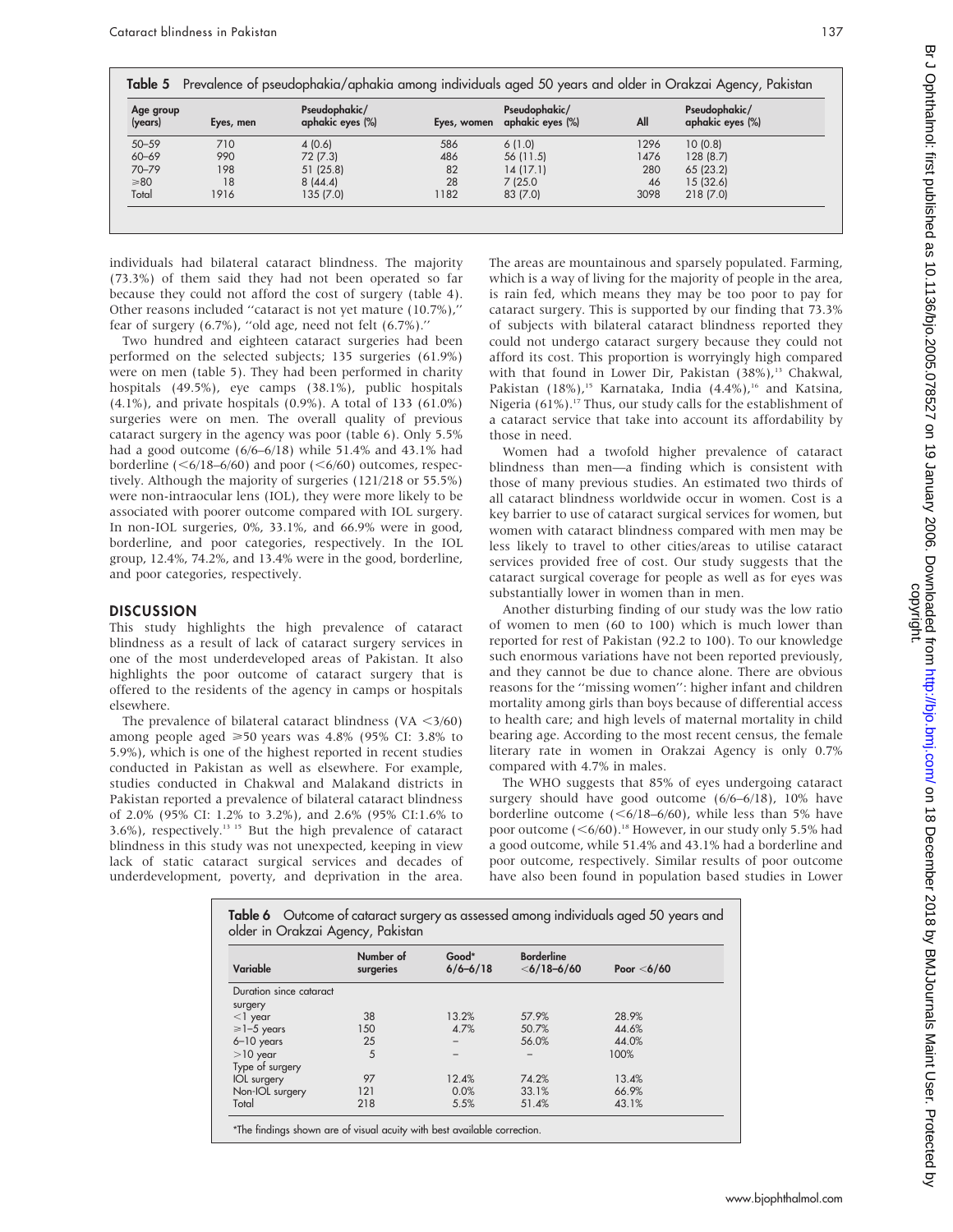| Age group<br>(years) | Eyes, men | Pseudophakic/<br>aphakic eyes (%) | Eyes, women | Pseudophakic/<br>aphakic eyes (%) | All  | Pseudophakic/<br>aphakic eyes (%) |
|----------------------|-----------|-----------------------------------|-------------|-----------------------------------|------|-----------------------------------|
| $50 - 59$            | 710       | 4(0.6)                            | 586         | 6(1.0)                            | 1296 | 10(0.8)                           |
| $60 - 69$            | 990       | 72 (7.3)                          | 486         | 56 (11.5)                         | 1476 | 128(8.7)                          |
| $70 - 79$            | 198       | 51(25.8)                          | 82          | 14(17.1)                          | 280  | 65(23.2)                          |
| $\geq 80$            | 18        | 8(44.4)                           | 28          | 7(25.0)                           | 46   | 15(32.6)                          |
| Total                | 1916      | 135(7.0)                          | 1182        | 83 (7.0)                          | 3098 | 218 (7.0)                         |

individuals had bilateral cataract blindness. The majority (73.3%) of them said they had not been operated so far because they could not afford the cost of surgery (table 4). Other reasons included ''cataract is not yet mature (10.7%),'' fear of surgery (6.7%), ''old age, need not felt (6.7%).''

Two hundred and eighteen cataract surgeries had been performed on the selected subjects; 135 surgeries (61.9%) were on men (table 5). They had been performed in charity hospitals (49.5%), eye camps (38.1%), public hospitals (4.1%), and private hospitals (0.9%). A total of 133 (61.0%) surgeries were on men. The overall quality of previous cataract surgery in the agency was poor (table 6). Only 5.5% had a good outcome (6/6–6/18) while 51.4% and 43.1% had borderline ( $\leq 6/18 - 6/60$ ) and poor ( $\leq 6/60$ ) outcomes, respectively. Although the majority of surgeries (121/218 or 55.5%) were non-intraocular lens (IOL), they were more likely to be associated with poorer outcome compared with IOL surgery. In non-IOL surgeries, 0%, 33.1%, and 66.9% were in good, borderline, and poor categories, respectively. In the IOL group, 12.4%, 74.2%, and 13.4% were in the good, borderline, and poor categories, respectively.

#### **DISCUSSION**

This study highlights the high prevalence of cataract blindness as a result of lack of cataract surgery services in one of the most underdeveloped areas of Pakistan. It also highlights the poor outcome of cataract surgery that is offered to the residents of the agency in camps or hospitals elsewhere.

The prevalence of bilateral cataract blindness (VA  $\leq$ 3/60) among people aged  $\geq 50$  years was 4.8% (95% CI: 3.8% to 5.9%), which is one of the highest reported in recent studies conducted in Pakistan as well as elsewhere. For example, studies conducted in Chakwal and Malakand districts in Pakistan reported a prevalence of bilateral cataract blindness of 2.0% (95% CI: 1.2% to 3.2%), and 2.6% (95% CI:1.6% to 3.6%), respectively.13 15 But the high prevalence of cataract blindness in this study was not unexpected, keeping in view lack of static cataract surgical services and decades of underdevelopment, poverty, and deprivation in the area.

The areas are mountainous and sparsely populated. Farming, which is a way of living for the majority of people in the area, is rain fed, which means they may be too poor to pay for cataract surgery. This is supported by our finding that 73.3% of subjects with bilateral cataract blindness reported they could not undergo cataract surgery because they could not afford its cost. This proportion is worryingly high compared with that found in Lower Dir, Pakistan  $(38\%)$ ,<sup>13</sup> Chakwal, Pakistan (18%),<sup>15</sup> Karnataka, India (4.4%),<sup>16</sup> and Katsina, Nigeria (61%).<sup>17</sup> Thus, our study calls for the establishment of a cataract service that take into account its affordability by those in need.

Women had a twofold higher prevalence of cataract blindness than men—a finding which is consistent with those of many previous studies. An estimated two thirds of all cataract blindness worldwide occur in women. Cost is a key barrier to use of cataract surgical services for women, but women with cataract blindness compared with men may be less likely to travel to other cities/areas to utilise cataract services provided free of cost. Our study suggests that the cataract surgical coverage for people as well as for eyes was substantially lower in women than in men.

Another disturbing finding of our study was the low ratio of women to men (60 to 100) which is much lower than reported for rest of Pakistan (92.2 to 100). To our knowledge such enormous variations have not been reported previously, and they cannot be due to chance alone. There are obvious reasons for the ''missing women'': higher infant and children mortality among girls than boys because of differential access to health care; and high levels of maternal mortality in child bearing age. According to the most recent census, the female literary rate in women in Orakzai Agency is only 0.7% compared with 4.7% in males.

The WHO suggests that 85% of eyes undergoing cataract surgery should have good outcome (6/6–6/18), 10% have borderline outcome  $(<\frac{6}{18}-\frac{6}{60})$ , while less than 5% have poor outcome  $(<6/60)$ .<sup>18</sup> However, in our study only 5.5% had a good outcome, while 51.4% and 43.1% had a borderline and poor outcome, respectively. Similar results of poor outcome have also been found in population based studies in Lower

| Variable                | Number of<br>surgeries | Good*<br>$6/6 - 6/18$ | <b>Borderline</b><br>$<$ 6/18-6/60 | Poor $<$ 6/60 |
|-------------------------|------------------------|-----------------------|------------------------------------|---------------|
| Duration since cataract |                        |                       |                                    |               |
| surgery                 |                        |                       |                                    |               |
| $<$ ] year              | 38                     | 13.2%                 | 57.9%                              | 28.9%         |
| $\geq$ 1-5 years        | 150                    | 4.7%                  | 50.7%                              | 44.6%         |
| $6 - 10$ years          | 25                     |                       | 56.0%                              | 44.0%         |
| $>10$ year              | 5                      |                       |                                    | 100%          |
| Type of surgery         |                        |                       |                                    |               |
| <b>IOL</b> surgery      | 97                     | 12.4%                 | 74.2%                              | 13.4%         |
| Non-IOL surgery         | 121                    | 0.0%                  | 33.1%                              | 66.9%         |
| Total                   | 218                    | 5.5%                  | 51.4%                              | 43.1%         |

Br J Ophthalmol: first published as 10.1136/bjo.2005.078527 on 19 January 2006. Downloaded from http://bjo.bmj.com/ on 18 December 2018 by BMJJournals Maint User. Protected by<br>copyright. on 18 December 2018 by BMJJournals Maint User. Protected by <http://bjo.bmj.com/> Br J Ophthalmol: first published as 10.1136/bjo.2005.078527 on 19 January 2006. Downloaded from